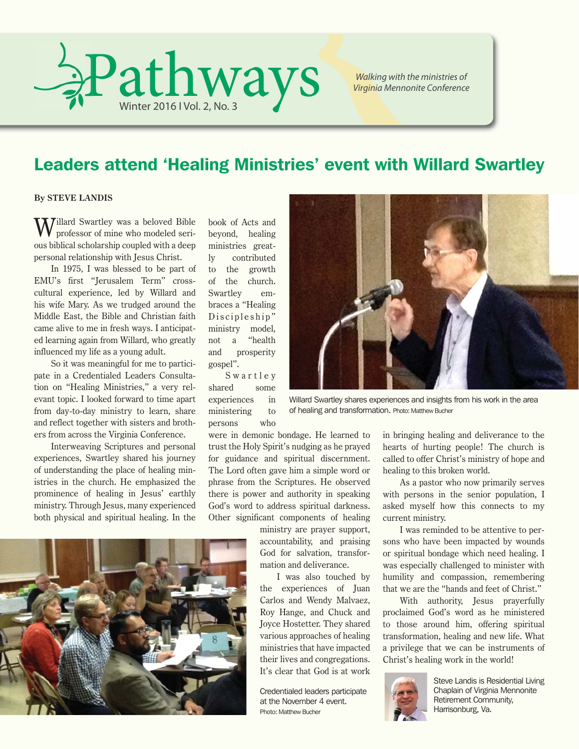

*Walking with the ministries of Virginia Mennonite Conference*

### Leaders attend 'Healing Ministries' event with Willard Swartley

#### **By STEVE LANDIS**

Willard Swartley was a beloved Bible<br>professor of mine who modeled serious biblical scholarship coupled with a deep personal relationship with Jesus Christ.

In 1975, I was blessed to be part of EMU's first "Jerusalem Term" crosscultural experience, led by Willard and his wife Mary. As we trudged around the Middle East, the Bible and Christian faith came alive to me in fresh ways. I anticipated learning again from Willard, who greatly influenced my life as a young adult.

So it was meaningful for me to participate in a Credentialed Leaders Consultation on "Healing Ministries," a very relevant topic. I looked forward to time apart from day-to-day ministry to learn, share and reflect together with sisters and brothers from across the Virginia Conference.

Interweaving Scriptures and personal experiences, Swartley shared his journey of understanding the place of healing ministries in the church. He emphasized the prominence of healing in Jesus' earthly ministry. Through Jesus, many experienced both physical and spiritual healing. In the

book of Acts and beyond, healing ministries greatly contributed to the growth of the church. Swartley embraces a "Healing Discipleship" ministry model, not a "health and prosperity gospel".

S w a r t l e y shared some experiences in ministering to persons who

were in demonic bondage. He learned to trust the Holy Spirit's nudging as he prayed for guidance and spiritual discernment. The Lord often gave him a simple word or phrase from the Scriptures. He observed there is power and authority in speaking God's word to address spiritual darkness. Other significant components of healing

> ministry are prayer support, accountability, and praising God for salvation, transformation and deliverance.

> I was also touched by the experiences of Juan Carlos and Wendy Malvaez, Roy Hange, and Chuck and Joyce Hostetter. They shared various approaches of healing ministries that have impacted their lives and congregations. It's clear that God is at work

Credentialed leaders participate at the November 4 event. Photo: Matthew Bucher



Willard Swartley shares experiences and insights from his work in the area of healing and transformation. Photo: Matthew Bucher

in bringing healing and deliverance to the hearts of hurting people! The church is called to offer Christ's ministry of hope and healing to this broken world.

As a pastor who now primarily serves with persons in the senior population, I asked myself how this connects to my current ministry.

I was reminded to be attentive to persons who have been impacted by wounds or spiritual bondage which need healing. I was especially challenged to minister with humility and compassion, remembering that we are the "hands and feet of Christ."

With authority, Jesus prayerfully proclaimed God's word as he ministered to those around him, offering spiritual transformation, healing and new life. What a privilege that we can be instruments of Christ's healing work in the world!



Steve Landis is Residential Living Chaplain of Virginia Mennonite Retirement Community, Harrisonburg, Va.

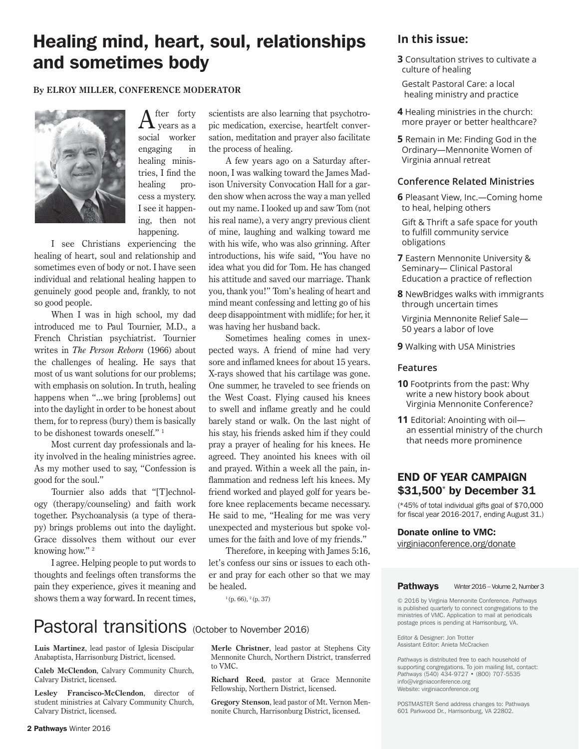### Healing mind, heart, soul, relationships and sometimes body

#### **By ELROY MILLER, CONFERENCE MODERATOR**



 $A$ <sup>fter forty</sup><br>years as a social worker engaging in healing ministries, I find the healing process a mystery. I see it happening, then not happening.

I see Christians experiencing the healing of heart, soul and relationship and sometimes even of body or not. I have seen individual and relational healing happen to genuinely good people and, frankly, to not so good people.

When I was in high school, my dad introduced me to Paul Tournier, M.D., a French Christian psychiatrist. Tournier writes in *The Person Reborn* (1966) about the challenges of healing. He says that most of us want solutions for our problems; with emphasis on solution. In truth, healing happens when "...we bring [problems] out into the daylight in order to be honest about them, for to repress (bury) them is basically to be dishonest towards oneself." 1

Most current day professionals and laity involved in the healing ministries agree. As my mother used to say, "Confession is good for the soul."

Tournier also adds that "[T]echnology (therapy/counseling) and faith work together. Psychoanalysis (a type of therapy) brings problems out into the daylight. Grace dissolves them without our ever knowing how." 2

I agree. Helping people to put words to thoughts and feelings often transforms the pain they experience, gives it meaning and shows them a way forward. In recent times,

scientists are also learning that psychotropic medication, exercise, heartfelt conversation, meditation and prayer also facilitate the process of healing.

A few years ago on a Saturday afternoon, I was walking toward the James Madison University Convocation Hall for a garden show when across the way a man yelled out my name. I looked up and saw Tom (not his real name), a very angry previous client of mine, laughing and walking toward me with his wife, who was also grinning. After introductions, his wife said, "You have no idea what you did for Tom. He has changed his attitude and saved our marriage. Thank you, thank you!" Tom's healing of heart and mind meant confessing and letting go of his deep disappointment with midlife; for her, it was having her husband back.

Sometimes healing comes in unexpected ways. A friend of mine had very sore and inflamed knees for about 15 years. X-rays showed that his cartilage was gone. One summer, he traveled to see friends on the West Coast. Flying caused his knees to swell and inflame greatly and he could barely stand or walk. On the last night of his stay, his friends asked him if they could pray a prayer of healing for his knees. He agreed. They anointed his knees with oil and prayed. Within a week all the pain, inflammation and redness left his knees. My friend worked and played golf for years before knee replacements became necessary. He said to me, "Healing for me was very unexpected and mysterious but spoke volumes for the faith and love of my friends."

Therefore, in keeping with James 5:16, let's confess our sins or issues to each other and pray for each other so that we may be healed.

## Pastoral transitions (October to November 2016)

**Luis Martinez**, lead pastor of Iglesia Discipular Anabaptista, Harrisonburg District, licensed.

**Caleb McClendon**, Calvary Community Church, Calvary District, licensed.

**Lesley Francisco-McClendon**, director of student ministries at Calvary Community Church, Calvary District, licensed.

**Merle Christner**, lead pastor at Stephens City Mennonite Church, Northern District, transferred to VMC.

**Richard Reed**, pastor at Grace Mennonite Fellowship, Northern District, licensed.

**Gregory Stenson**, lead pastor of Mt. Vernon Mennonite Church, Harrisonburg District, licensed.

### **In this issue:**

- **3** Consultation strives to cultivate a culture of healing
- Gestalt Pastoral Care: a local healing ministry and practice
- **4** Healing ministries in the church: more prayer or better healthcare?
- **5** Remain in Me: Finding God in the Ordinary—Mennonite Women of Virginia annual retreat

#### **Conference Related Ministries**

**6** Pleasant View, Inc.—Coming home to heal, helping others

 Gift & Thrift a safe space for youth to fulfill community service obligations

- **7** Eastern Mennonite University & Seminary— Clinical Pastoral Education a practice of reflection
- **8** NewBridges walks with immigrants through uncertain times

 Virginia Mennonite Relief Sale— 50 years a labor of love

**9** Walking with USA Ministries

#### **Features**

- **10** Footprints from the past: Why write a new history book about Virginia Mennonite Conference?
- **11** Editorial: Anointing with oil an essential ministry of the church that needs more prominence

#### END OF YEAR CAMPAIGN \$31,500\* by December 31

(\*45% of total individual gifts goal of \$70,000 for fiscal year 2016-2017, ending August 31.)

Donate online to VMC:

virginiaconference.org/donate

#### Pathways Winter 2016 – Volume 2, Number 3

1 (p. 66), 2 (p. 37) © 2016 by Virginia Mennonite Conference. *Pathways* is published quarterly to connect congregations to the ministries of VMC. Application to mail at periodicals postage prices is pending at Harrisonburg, VA.

> Editor & Designer: Jon Trotter Assistant Editor: Anieta McCracken

*Pathways* is distributed free to each household of supporting congregations. To join mailing list, contact: *Pathways* (540) 434-9727 • (800) 707-5535 info@virginiaconference.org Website: virginiaconference.org

POSTMASTER Send address changes to: Pathways 601 Parkwood Dr., Harrisonburg, VA 22802.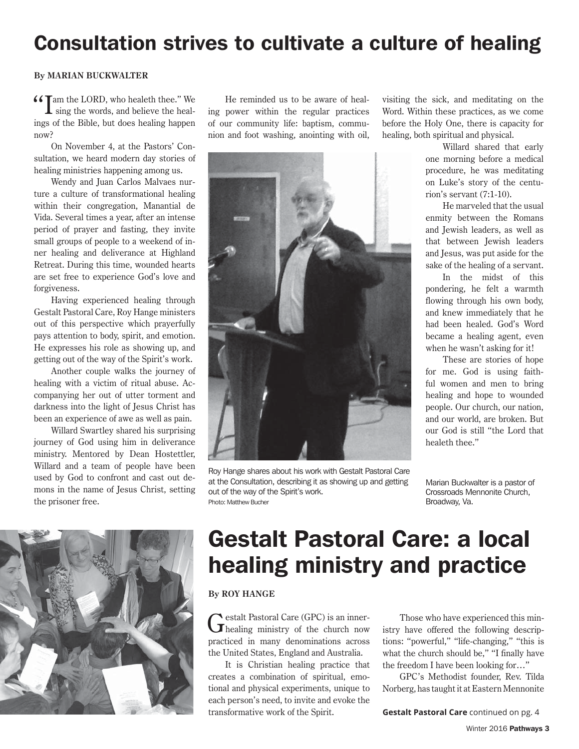## Consultation strives to cultivate a culture of healing

#### **By MARIAN BUCKWALTER**

66 Tam the LORD, who healeth thee." We

 $\mathbf I$  sing the words, and believe the healings of the Bible, but does healing happen now?

On November 4, at the Pastors' Consultation, we heard modern day stories of healing ministries happening among us.

Wendy and Juan Carlos Malvaes nurture a culture of transformational healing within their congregation, Manantial de Vida. Several times a year, after an intense period of prayer and fasting, they invite small groups of people to a weekend of inner healing and deliverance at Highland Retreat. During this time, wounded hearts are set free to experience God's love and forgiveness.

Having experienced healing through Gestalt Pastoral Care, Roy Hange ministers out of this perspective which prayerfully pays attention to body, spirit, and emotion. He expresses his role as showing up, and getting out of the way of the Spirit's work.

Another couple walks the journey of healing with a victim of ritual abuse. Accompanying her out of utter torment and darkness into the light of Jesus Christ has been an experience of awe as well as pain.

Willard Swartley shared his surprising journey of God using him in deliverance ministry. Mentored by Dean Hostettler, Willard and a team of people have been used by God to confront and cast out demons in the name of Jesus Christ, setting the prisoner free.

He reminded us to be aware of healing power within the regular practices of our community life: baptism, communion and foot washing, anointing with oil,



Roy Hange shares about his work with Gestalt Pastoral Care at the Consultation, describing it as showing up and getting out of the way of the Spirit's work. Photo: Matthew Bucher

visiting the sick, and meditating on the Word. Within these practices, as we come before the Holy One, there is capacity for healing, both spiritual and physical.

> Willard shared that early one morning before a medical procedure, he was meditating on Luke's story of the centurion's servant (7:1-10).

> He marveled that the usual enmity between the Romans and Jewish leaders, as well as that between Jewish leaders and Jesus, was put aside for the sake of the healing of a servant.

> In the midst of this pondering, he felt a warmth flowing through his own body, and knew immediately that he had been healed. God's Word became a healing agent, even when he wasn't asking for it!

> These are stories of hope for me. God is using faithful women and men to bring healing and hope to wounded people. Our church, our nation, and our world, are broken. But our God is still "the Lord that healeth thee."

Marian Buckwalter is a pastor of Crossroads Mennonite Church, Broadway, Va.



# Gestalt Pastoral Care: a local healing ministry and practice

#### **By ROY HANGE**

Gestalt Pastoral Care (GPC) is an inner-<br>
Thealing ministry of the church now practiced in many denominations across the United States, England and Australia.

It is Christian healing practice that creates a combination of spiritual, emotional and physical experiments, unique to each person's need, to invite and evoke the transformative work of the Spirit.

Those who have experienced this ministry have offered the following descriptions: "powerful," "life-changing," "this is what the church should be," "I finally have the freedom I have been looking for…"

GPC's Methodist founder, Rev. Tilda Norberg, has taught it at Eastern Mennonite

**Gestalt Pastoral Care** continued on pg. 4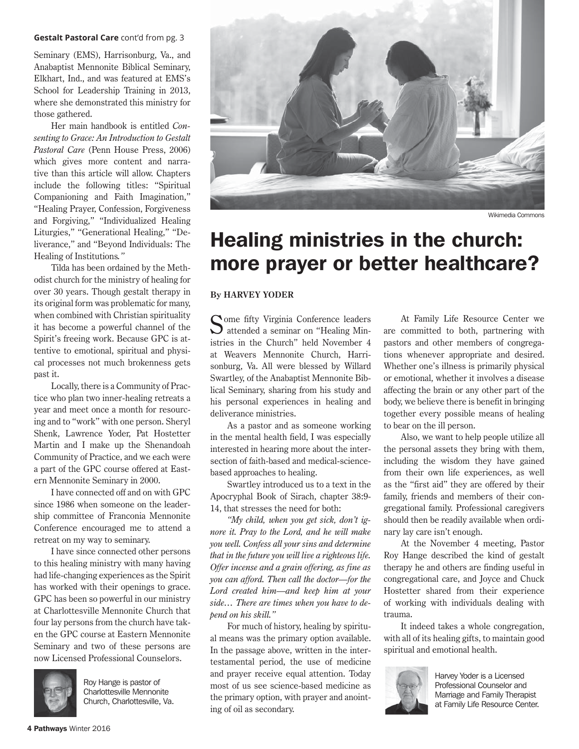#### **Gestalt Pastoral Care** cont'd from pg. 3

Seminary (EMS), Harrisonburg, Va., and Anabaptist Mennonite Biblical Seminary, Elkhart, Ind., and was featured at EMS's School for Leadership Training in 2013, where she demonstrated this ministry for those gathered.

Her main handbook is entitled *Consenting to Grace: An Introduction to Gestalt Pastoral Care* (Penn House Press, 2006) which gives more content and narrative than this article will allow. Chapters include the following titles: "Spiritual Companioning and Faith Imagination," "Healing Prayer, Confession, Forgiveness and Forgiving," "Individualized Healing Liturgies," "Generational Healing," "Deliverance," and "Beyond Individuals: The Healing of Institutions*."* 

Tilda has been ordained by the Methodist church for the ministry of healing for over 30 years. Though gestalt therapy in its original form was problematic for many, when combined with Christian spirituality it has become a powerful channel of the Spirit's freeing work. Because GPC is attentive to emotional, spiritual and physical processes not much brokenness gets past it.

Locally, there is a Community of Practice who plan two inner-healing retreats a year and meet once a month for resourcing and to "work" with one person. Sheryl Shenk, Lawrence Yoder, Pat Hostetter Martin and I make up the Shenandoah Community of Practice, and we each were a part of the GPC course offered at Eastern Mennonite Seminary in 2000.

I have connected off and on with GPC since 1986 when someone on the leadership committee of Franconia Mennonite Conference encouraged me to attend a retreat on my way to seminary.

I have since connected other persons to this healing ministry with many having had life-changing experiences as the Spirit has worked with their openings to grace. GPC has been so powerful in our ministry at Charlottesville Mennonite Church that four lay persons from the church have taken the GPC course at Eastern Mennonite Seminary and two of these persons are now Licensed Professional Counselors.



Roy Hange is pastor of Charlottesville Mennonite Church, Charlottesville, Va.



Wikimedia Commons

## Healing ministries in the church: more prayer or better healthcare?

#### **By HARVEY YODER**

Some fifty Virginia Conference leaders<br>
attended a seminar on "Healing Ministries in the Church" held November 4 at Weavers Mennonite Church, Harrisonburg, Va. All were blessed by Willard Swartley, of the Anabaptist Mennonite Biblical Seminary, sharing from his study and his personal experiences in healing and deliverance ministries.

As a pastor and as someone working in the mental health field, I was especially interested in hearing more about the intersection of faith-based and medical-sciencebased approaches to healing.

Swartley introduced us to a text in the Apocryphal Book of Sirach, chapter 38:9- 14, that stresses the need for both:

*"My child, when you get sick, don't ignore it. Pray to the Lord, and he will make you well. Confess all your sins and determine that in the future you will live a righteous life. Offer incense and a grain offering, as fine as you can afford. Then call the doctor—for the Lord created him—and keep him at your side… There are times when you have to depend on his skill."*

For much of history, healing by spiritual means was the primary option available. In the passage above, written in the intertestamental period, the use of medicine and prayer receive equal attention. Today most of us see science-based medicine as the primary option, with prayer and anointing of oil as secondary.

At Family Life Resource Center we are committed to both, partnering with pastors and other members of congregations whenever appropriate and desired. Whether one's illness is primarily physical or emotional, whether it involves a disease affecting the brain or any other part of the body, we believe there is benefit in bringing together every possible means of healing to bear on the ill person.

Also, we want to help people utilize all the personal assets they bring with them, including the wisdom they have gained from their own life experiences, as well as the "first aid" they are offered by their family, friends and members of their congregational family. Professional caregivers should then be readily available when ordinary lay care isn't enough.

At the November 4 meeting, Pastor Roy Hange described the kind of gestalt therapy he and others are finding useful in congregational care, and Joyce and Chuck Hostetter shared from their experience of working with individuals dealing with trauma.

It indeed takes a whole congregation, with all of its healing gifts, to maintain good spiritual and emotional health.



Harvey Yoder is a Licensed Professional Counselor and Marriage and Family Therapist at Family Life Resource Center.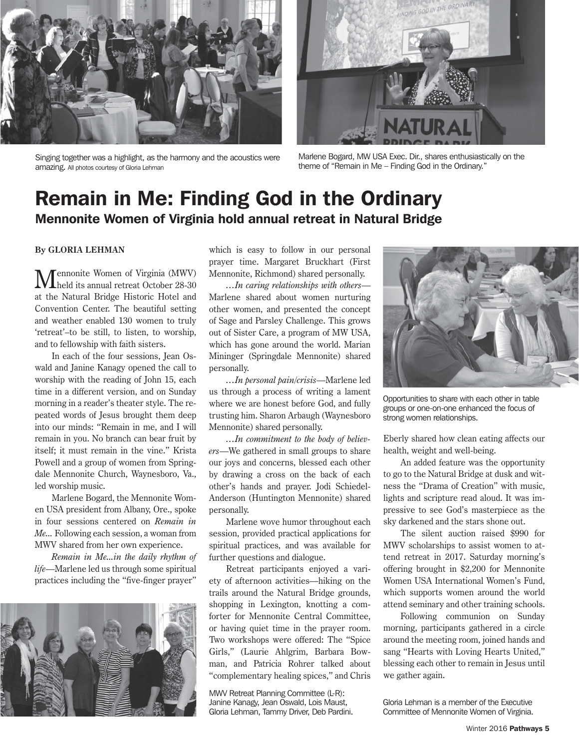





Marlene Bogard, MW USA Exec. Dir., shares enthusiastically on the theme of "Remain in Me – Finding God in the Ordinary."

### Remain in Me: Finding God in the Ordinary Mennonite Women of Virginia hold annual retreat in Natural Bridge

#### **By GLORIA LEHMAN**

Mennonite Women of Virginia (MWV) held its annual retreat October 28-30 at the Natural Bridge Historic Hotel and Convention Center. The beautiful setting and weather enabled 130 women to truly 'retreat'–to be still, to listen, to worship, and to fellowship with faith sisters.

In each of the four sessions, Jean Oswald and Janine Kanagy opened the call to worship with the reading of John 15, each time in a different version, and on Sunday morning in a reader's theater style. The repeated words of Jesus brought them deep into our minds: "Remain in me, and I will remain in you. No branch can bear fruit by itself; it must remain in the vine." Krista Powell and a group of women from Springdale Mennonite Church, Waynesboro, Va., led worship music.

Marlene Bogard, the Mennonite Women USA president from Albany, Ore., spoke in four sessions centered on *Remain in Me...* Following each session, a woman from MWV shared from her own experience.

*Remain in Me...in the daily rhythm of life*—Marlene led us through some spiritual practices including the "five-finger prayer"



which is easy to follow in our personal prayer time. Margaret Bruckhart (First Mennonite, Richmond) shared personally.

*…In caring relationships with others*— Marlene shared about women nurturing other women, and presented the concept of Sage and Parsley Challenge. This grows out of Sister Care, a program of MW USA, which has gone around the world. Marian Mininger (Springdale Mennonite) shared personally.

*…In personal pain/crisis*—Marlene led us through a process of writing a lament where we are honest before God, and fully trusting him. Sharon Arbaugh (Waynesboro Mennonite) shared personally.

*…In commitment to the body of believers*—We gathered in small groups to share our joys and concerns, blessed each other by drawing a cross on the back of each other's hands and prayer. Jodi Schiedel-Anderson (Huntington Mennonite) shared personally.

Marlene wove humor throughout each session, provided practical applications for spiritual practices, and was available for further questions and dialogue.

Retreat participants enjoyed a variety of afternoon activities—hiking on the trails around the Natural Bridge grounds, shopping in Lexington, knotting a comforter for Mennonite Central Committee, or having quiet time in the prayer room. Two workshops were offered: The "Spice Girls," (Laurie Ahlgrim, Barbara Bowman, and Patricia Rohrer talked about "complementary healing spices," and Chris

MWV Retreat Planning Committee (L-R): Janine Kanagy, Jean Oswald, Lois Maust, Gloria Lehman, Tammy Driver, Deb Pardini.



Opportunities to share with each other in table groups or one-on-one enhanced the focus of strong women relationships.

Eberly shared how clean eating affects our health, weight and well-being.

An added feature was the opportunity to go to the Natural Bridge at dusk and witness the "Drama of Creation" with music, lights and scripture read aloud. It was impressive to see God's masterpiece as the sky darkened and the stars shone out.

The silent auction raised \$990 for MWV scholarships to assist women to attend retreat in 2017. Saturday morning's offering brought in \$2,200 for Mennonite Women USA International Women's Fund, which supports women around the world attend seminary and other training schools.

Following communion on Sunday morning, participants gathered in a circle around the meeting room, joined hands and sang "Hearts with Loving Hearts United," blessing each other to remain in Jesus until we gather again.

Gloria Lehman is a member of the Executive Committee of Mennonite Women of Virginia.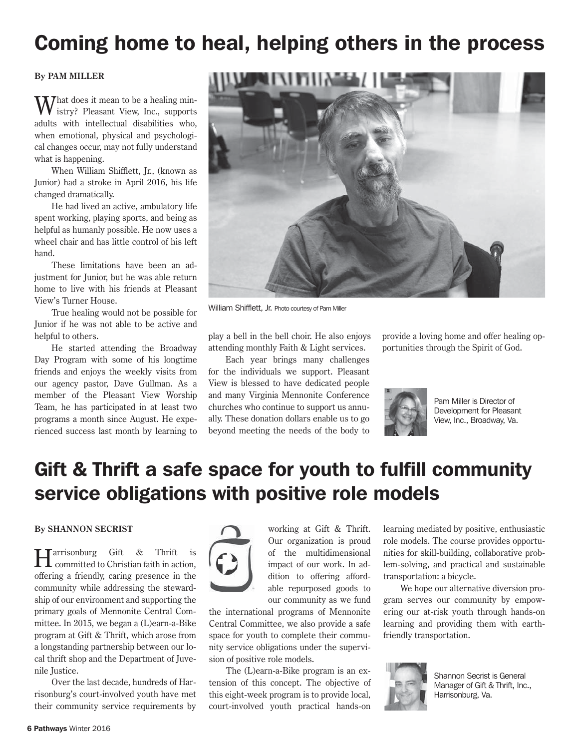## Coming home to heal, helping others in the process

#### **By PAM MILLER**

**That does it mean to be a healing min**istry? Pleasant View, Inc., supports adults with intellectual disabilities who, when emotional, physical and psychological changes occur, may not fully understand what is happening.

When William Shifflett, Jr., (known as Junior) had a stroke in April 2016, his life changed dramatically.

He had lived an active, ambulatory life spent working, playing sports, and being as helpful as humanly possible. He now uses a wheel chair and has little control of his left hand.

These limitations have been an adjustment for Junior, but he was able return home to live with his friends at Pleasant View's Turner House.

True healing would not be possible for Junior if he was not able to be active and helpful to others.

He started attending the Broadway Day Program with some of his longtime friends and enjoys the weekly visits from our agency pastor, Dave Gullman. As a member of the Pleasant View Worship Team, he has participated in at least two programs a month since August. He experienced success last month by learning to



William Shifflett, Jr. Photo courtesy of Pam Miller

play a bell in the bell choir. He also enjoys attending monthly Faith & Light services.

Each year brings many challenges for the individuals we support. Pleasant View is blessed to have dedicated people and many Virginia Mennonite Conference churches who continue to support us annually. These donation dollars enable us to go beyond meeting the needs of the body to provide a loving home and offer healing opportunities through the Spirit of God.



Pam Miller is Director of Development for Pleasant View, Inc., Broadway, Va.

## Gift & Thrift a safe space for youth to fulfill community service obligations with positive role models

#### **By SHANNON SECRIST**

**H** arrisonburg Gift & Thrift is committed to Christian faith in action, offering a friendly, caring presence in the community while addressing the stewardship of our environment and supporting the primary goals of Mennonite Central Committee. In 2015, we began a (L)earn-a-Bike program at Gift & Thrift, which arose from a longstanding partnership between our local thrift shop and the Department of Juvenile Justice.

Over the last decade, hundreds of Harrisonburg's court-involved youth have met their community service requirements by



working at Gift & Thrift. Our organization is proud of the multidimensional impact of our work. In addition to offering affordable repurposed goods to our community as we fund

the international programs of Mennonite Central Committee, we also provide a safe space for youth to complete their community service obligations under the supervision of positive role models.

The (L)earn-a-Bike program is an extension of this concept. The objective of this eight-week program is to provide local, court-involved youth practical hands-on learning mediated by positive, enthusiastic role models. The course provides opportunities for skill-building, collaborative problem-solving, and practical and sustainable transportation: a bicycle.

We hope our alternative diversion program serves our community by empowering our at-risk youth through hands-on learning and providing them with earthfriendly transportation.



Shannon Secrist is General Manager of Gift & Thrift, Inc., Harrisonburg, Va.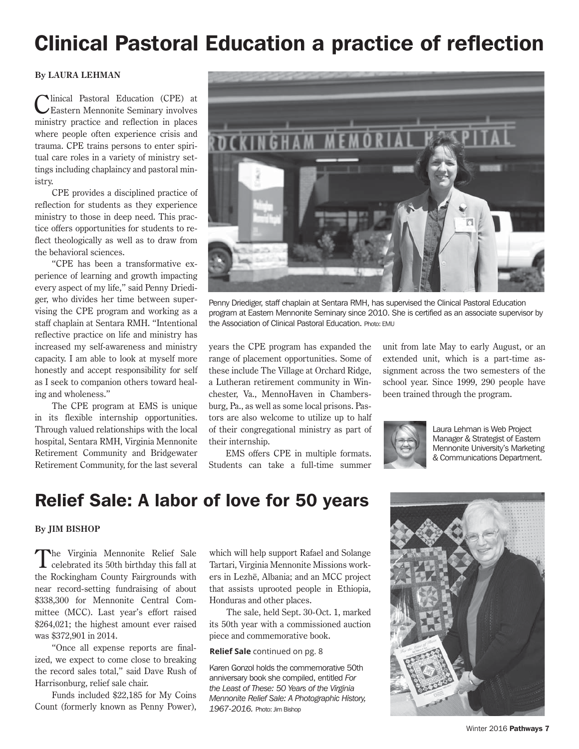# Clinical Pastoral Education a practice of reflection

#### **By LAURA LEHMAN**

Iinical Pastoral Education (CPE) at Eastern Mennonite Seminary involves ministry practice and reflection in places where people often experience crisis and trauma. CPE trains persons to enter spiritual care roles in a variety of ministry settings including chaplaincy and pastoral ministry.

CPE provides a disciplined practice of reflection for students as they experience ministry to those in deep need. This practice offers opportunities for students to reflect theologically as well as to draw from the behavioral sciences.

"CPE has been a transformative experience of learning and growth impacting every aspect of my life," said Penny Driediger, who divides her time between supervising the CPE program and working as a staff chaplain at Sentara RMH. "Intentional reflective practice on life and ministry has increased my self-awareness and ministry capacity. I am able to look at myself more honestly and accept responsibility for self as I seek to companion others toward healing and wholeness."

The CPE program at EMS is unique in its flexible internship opportunities. Through valued relationships with the local hospital, Sentara RMH, Virginia Mennonite Retirement Community and Bridgewater Retirement Community, for the last several



Penny Driediger, staff chaplain at Sentara RMH, has supervised the Clinical Pastoral Education program at Eastern Mennonite Seminary since 2010. She is certified as an associate supervisor by the Association of Clinical Pastoral Education. Photo: EMU

years the CPE program has expanded the range of placement opportunities. Some of these include The Village at Orchard Ridge, a Lutheran retirement community in Winchester, Va., MennoHaven in Chambersburg, Pa., as well as some local prisons. Pastors are also welcome to utilize up to half of their congregational ministry as part of their internship.

EMS offers CPE in multiple formats. Students can take a full-time summer

unit from late May to early August, or an extended unit, which is a part-time assignment across the two semesters of the school year. Since 1999, 290 people have been trained through the program.



Laura Lehman is Web Project Manager & Strategist of Eastern Mennonite University's Marketing & Communications Department.

### Relief Sale: A labor of love for 50 years

#### **By JIM BISHOP**

The Virginia Mennonite Relief Sale celebrated its 50th birthday this fall at the Rockingham County Fairgrounds with near record-setting fundraising of about \$338,300 for Mennonite Central Committee (MCC). Last year's effort raised \$264,021; the highest amount ever raised was \$372,901 in 2014.

"Once all expense reports are finalized, we expect to come close to breaking the record sales total," said Dave Rush of Harrisonburg, relief sale chair.

Funds included \$22,185 for My Coins Count (formerly known as Penny Power),

which will help support Rafael and Solange Tartari, Virginia Mennonite Missions workers in Lezhë, Albania; and an MCC project that assists uprooted people in Ethiopia, Honduras and other places.

The sale, held Sept. 30-Oct. 1, marked its 50th year with a commissioned auction piece and commemorative book.

**Relief Sale** continued on pg. 8

Karen Gonzol holds the commemorative 50th anniversary book she compiled, entitled *For the Least of These: 50 Years of the Virginia Mennonite Relief Sale: A Photographic History, 1967-2016.* Photo: Jim Bishop

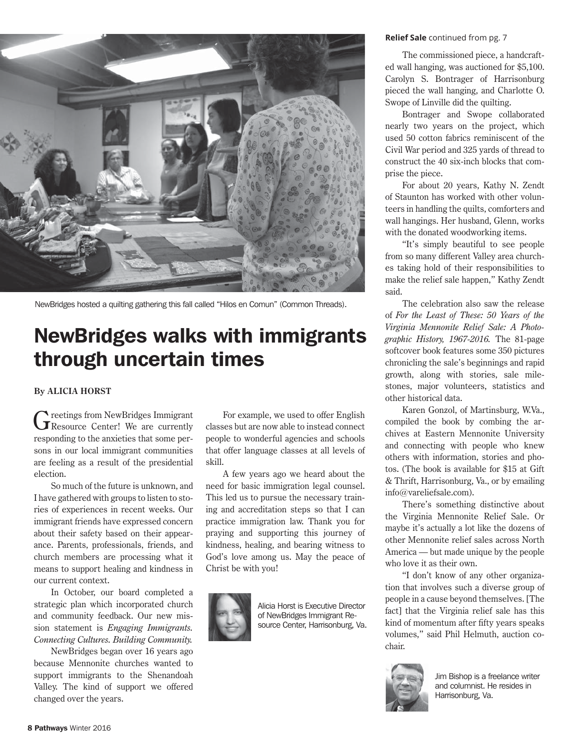

NewBridges hosted a quilting gathering this fall called "Hilos en Comun" (Common Threads).

## NewBridges walks with immigrants through uncertain times

#### **By ALICIA HORST**

Greetings from NewBridges Immigrant<br>
GResource Center! We are currently responding to the anxieties that some persons in our local immigrant communities are feeling as a result of the presidential election.

So much of the future is unknown, and I have gathered with groups to listen to stories of experiences in recent weeks. Our immigrant friends have expressed concern about their safety based on their appearance. Parents, professionals, friends, and church members are processing what it means to support healing and kindness in our current context.

In October, our board completed a strategic plan which incorporated church and community feedback. Our new mission statement is *Engaging Immigrants. Connecting Cultures. Building Community.* 

NewBridges began over 16 years ago because Mennonite churches wanted to support immigrants to the Shenandoah Valley. The kind of support we offered changed over the years.

For example, we used to offer English classes but are now able to instead connect people to wonderful agencies and schools that offer language classes at all levels of skill.

A few years ago we heard about the need for basic immigration legal counsel. This led us to pursue the necessary training and accreditation steps so that I can practice immigration law. Thank you for praying and supporting this journey of kindness, healing, and bearing witness to God's love among us. May the peace of Christ be with you!



Alicia Horst is Executive Director of NewBridges Immigrant Resource Center, Harrisonburg, Va.

#### **Relief Sale** continued from pg. 7

The commissioned piece, a handcrafted wall hanging, was auctioned for \$5,100. Carolyn S. Bontrager of Harrisonburg pieced the wall hanging, and Charlotte O. Swope of Linville did the quilting.

Bontrager and Swope collaborated nearly two years on the project, which used 50 cotton fabrics reminiscent of the Civil War period and 325 yards of thread to construct the 40 six-inch blocks that comprise the piece.

For about 20 years, Kathy N. Zendt of Staunton has worked with other volunteers in handling the quilts, comforters and wall hangings. Her husband, Glenn, works with the donated woodworking items.

"It's simply beautiful to see people from so many different Valley area churches taking hold of their responsibilities to make the relief sale happen," Kathy Zendt said.

The celebration also saw the release of *For the Least of These: 50 Years of the Virginia Mennonite Relief Sale: A Photographic History, 1967-2016.* The 81-page softcover book features some 350 pictures chronicling the sale's beginnings and rapid growth, along with stories, sale milestones, major volunteers, statistics and other historical data.

Karen Gonzol, of Martinsburg, W.Va., compiled the book by combing the archives at Eastern Mennonite University and connecting with people who knew others with information, stories and photos. (The book is available for \$15 at Gift & Thrift, Harrisonburg, Va., or by emailing info@vareliefsale.com).

There's something distinctive about the Virginia Mennonite Relief Sale. Or maybe it's actually a lot like the dozens of other Mennonite relief sales across North America — but made unique by the people who love it as their own.

"I don't know of any other organization that involves such a diverse group of people in a cause beyond themselves. [The fact] that the Virginia relief sale has this kind of momentum after fifty years speaks volumes," said Phil Helmuth, auction cochair.



Jim Bishop is a freelance writer and columnist. He resides in Harrisonburg, Va.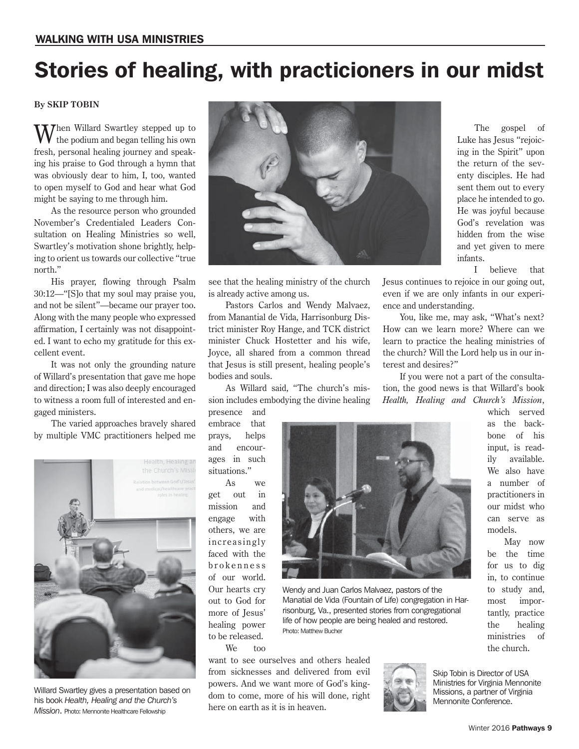# Stories of healing, with practicioners in our midst

#### **By SKIP TOBIN**

**Then Willard Swartley stepped up to** the podium and began telling his own fresh, personal healing journey and speaking his praise to God through a hymn that was obviously dear to him, I, too, wanted to open myself to God and hear what God might be saying to me through him.

As the resource person who grounded November's Credentialed Leaders Consultation on Healing Ministries so well, Swartley's motivation shone brightly, helping to orient us towards our collective "true north."

His prayer, flowing through Psalm 30:12—"[S]o that my soul may praise you, and not be silent"—became our prayer too. Along with the many people who expressed affirmation, I certainly was not disappointed. I want to echo my gratitude for this excellent event.

It was not only the grounding nature of Willard's presentation that gave me hope and direction; I was also deeply encouraged to witness a room full of interested and engaged ministers.

The varied approaches bravely shared by multiple VMC practitioners helped me



Willard Swartley gives a presentation based on his book *Health, Healing and the Church's Mission*. Photo: Mennonite Healthcare Fellowship



see that the healing ministry of the church is already active among us.

Pastors Carlos and Wendy Malvaez, from Manantial de Vida, Harrisonburg District minister Roy Hange, and TCK district minister Chuck Hostetter and his wife, Joyce, all shared from a common thread that Jesus is still present, healing people's bodies and souls.

As Willard said, "The church's mission includes embodying the divine healing

presence and embrace that prays, helps and encourages in such situations.'

As we get out in mission and engage with others, we are increasingly faced with the brokenness of our world. Our hearts cry out to God for more of Jesus' healing power to be released.

We too

want to see ourselves and others healed from sicknesses and delivered from evil powers. And we want more of God's kingdom to come, more of his will done, right here on earth as it is in heaven.



Wendy and Juan Carlos Malvaez, pastors of the Manatial de Vida (Fountain of Life) congregation in Harrisonburg, Va., presented stories from congregational life of how people are being healed and restored. Photo: Matthew Bucher



The gospel of Luke has Jesus "rejoicing in the Spirit" upon the return of the seventy disciples. He had sent them out to every place he intended to go. He was joyful because God's revelation was hidden from the wise and yet given to mere infants.

I believe that

Jesus continues to rejoice in our going out, even if we are only infants in our experience and understanding.

You, like me, may ask, "What's next? How can we learn more? Where can we learn to practice the healing ministries of the church? Will the Lord help us in our interest and desires?"

If you were not a part of the consultation, the good news is that Willard's book *Health, Healing and Church's Mission*,

> which served as the backbone of his input, is readily available. We also have a number of practitioners in our midst who can serve as models.

May now be the time for us to dig in, to continue to study and, most importantly, practice the healing ministries of the church.

Skip Tobin is Director of USA Ministries for Virginia Mennonite Missions, a partner of Virginia Mennonite Conference.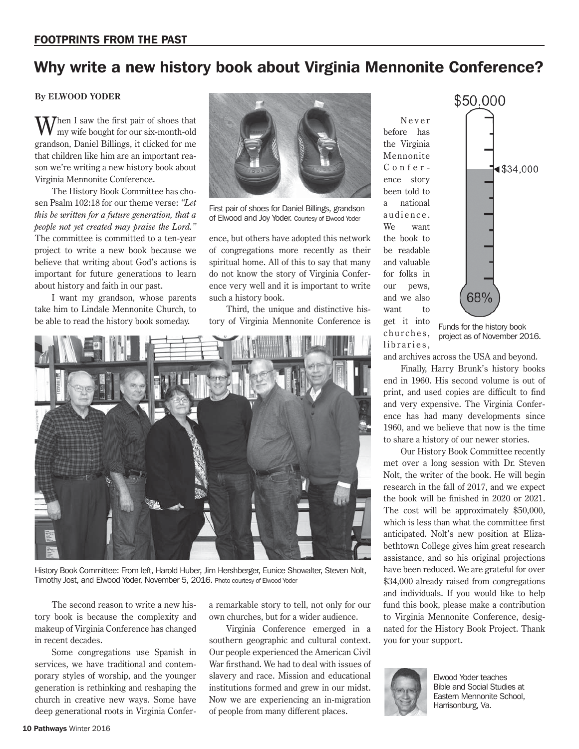### Why write a new history book about Virginia Mennonite Conference?

#### **By ELWOOD YODER**

Then I saw the first pair of shoes that my wife bought for our six-month-old grandson, Daniel Billings, it clicked for me that children like him are an important reason we're writing a new history book about Virginia Mennonite Conference.

The History Book Committee has chosen Psalm 102:18 for our theme verse: *"Let this be written for a future generation, that a people not yet created may praise the Lord."* The committee is committed to a ten-year project to write a new book because we believe that writing about God's actions is important for future generations to learn about history and faith in our past.

I want my grandson, whose parents take him to Lindale Mennonite Church, to be able to read the history book someday.



First pair of shoes for Daniel Billings, grandson of Elwood and Joy Yoder. Courtesy of Elwood Yoder

ence, but others have adopted this network of congregations more recently as their spiritual home. All of this to say that many do not know the story of Virginia Conference very well and it is important to write such a history book.

Third, the unique and distinctive history of Virginia Mennonite Conference is



History Book Committee: From left, Harold Huber, Jim Hershberger, Eunice Showalter, Steven Nolt, Timothy Jost, and Elwood Yoder, November 5, 2016. Photo courtesy of Elwood Yoder

The second reason to write a new history book is because the complexity and makeup of Virginia Conference has changed in recent decades.

Some congregations use Spanish in services, we have traditional and contemporary styles of worship, and the younger generation is rethinking and reshaping the church in creative new ways. Some have deep generational roots in Virginia Confera remarkable story to tell, not only for our own churches, but for a wider audience.

Virginia Conference emerged in a southern geographic and cultural context. Our people experienced the American Civil War firsthand. We had to deal with issues of slavery and race. Mission and educational institutions formed and grew in our midst. Now we are experiencing an in-migration of people from many different places.

N e v e r before has the Virginia Mennonite Conference story been told to a national audience. We want the book to be readable and valuable for folks in our pews, and we also want to get it into churches, libraries.



Funds for the history book project as of November 2016.

and archives across the USA and beyond.

Finally, Harry Brunk's history books end in 1960. His second volume is out of print, and used copies are difficult to find and very expensive. The Virginia Conference has had many developments since 1960, and we believe that now is the time to share a history of our newer stories.

Our History Book Committee recently met over a long session with Dr. Steven Nolt, the writer of the book. He will begin research in the fall of 2017, and we expect the book will be finished in 2020 or 2021. The cost will be approximately \$50,000, which is less than what the committee first anticipated. Nolt's new position at Elizabethtown College gives him great research assistance, and so his original projections have been reduced. We are grateful for over \$34,000 already raised from congregations and individuals. If you would like to help fund this book, please make a contribution to Virginia Mennonite Conference, designated for the History Book Project. Thank you for your support.



Elwood Yoder teaches Bible and Social Studies at Eastern Mennonite School, Harrisonburg, Va.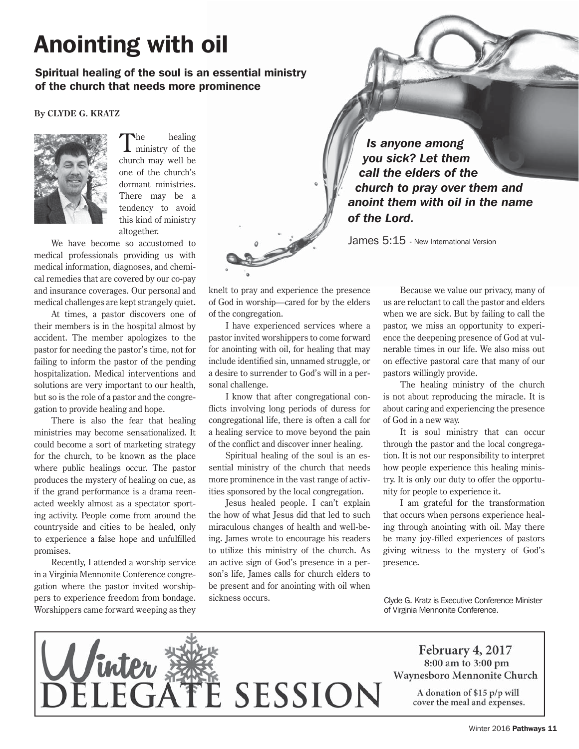# Anointing with oil

#### Spiritual healing of the soul is an essential ministry of the church that needs more prominence

#### **By CLYDE G. KRATZ**



The healing<br>ministry of the church may well be one of the church's dormant ministries. There may be a tendency to avoid this kind of ministry altogether.

We have become so accustomed to medical professionals providing us with medical information, diagnoses, and chemical remedies that are covered by our co-pay and insurance coverages. Our personal and medical challenges are kept strangely quiet.

At times, a pastor discovers one of their members is in the hospital almost by accident. The member apologizes to the pastor for needing the pastor's time, not for failing to inform the pastor of the pending hospitalization. Medical interventions and solutions are very important to our health, but so is the role of a pastor and the congregation to provide healing and hope.

There is also the fear that healing ministries may become sensationalized. It could become a sort of marketing strategy for the church, to be known as the place where public healings occur. The pastor produces the mystery of healing on cue, as if the grand performance is a drama reenacted weekly almost as a spectator sporting activity. People come from around the countryside and cities to be healed, only to experience a false hope and unfulfilled promises.

Recently, I attended a worship service in a Virginia Mennonite Conference congregation where the pastor invited worshippers to experience freedom from bondage. Worshippers came forward weeping as they

knelt to pray and experience the presence of God in worship—cared for by the elders of the congregation.

I have experienced services where a pastor invited worshippers to come forward for anointing with oil, for healing that may include identified sin, unnamed struggle, or a desire to surrender to God's will in a personal challenge.

I know that after congregational conflicts involving long periods of duress for congregational life, there is often a call for a healing service to move beyond the pain of the conflict and discover inner healing.

Spiritual healing of the soul is an essential ministry of the church that needs more prominence in the vast range of activities sponsored by the local congregation.

Jesus healed people. I can't explain the how of what Jesus did that led to such miraculous changes of health and well-being. James wrote to encourage his readers to utilize this ministry of the church. As an active sign of God's presence in a person's life, James calls for church elders to be present and for anointing with oil when sickness occurs.

 *Is anyone among you sick? Let them call the elders of the church to pray over them and anoint them with oil in the name of the Lord.* 

James 5:15 - New International Version

Because we value our privacy, many of us are reluctant to call the pastor and elders when we are sick. But by failing to call the pastor, we miss an opportunity to experience the deepening presence of God at vulnerable times in our life. We also miss out on effective pastoral care that many of our pastors willingly provide.

The healing ministry of the church is not about reproducing the miracle. It is about caring and experiencing the presence of God in a new way.

It is soul ministry that can occur through the pastor and the local congregation. It is not our responsibility to interpret how people experience this healing ministry. It is only our duty to offer the opportunity for people to experience it.

I am grateful for the transformation that occurs when persons experience healing through anointing with oil. May there be many joy-filled experiences of pastors giving witness to the mystery of God's presence.

Clyde G. Kratz is Executive Conference Minister of Virginia Mennonite Conference.